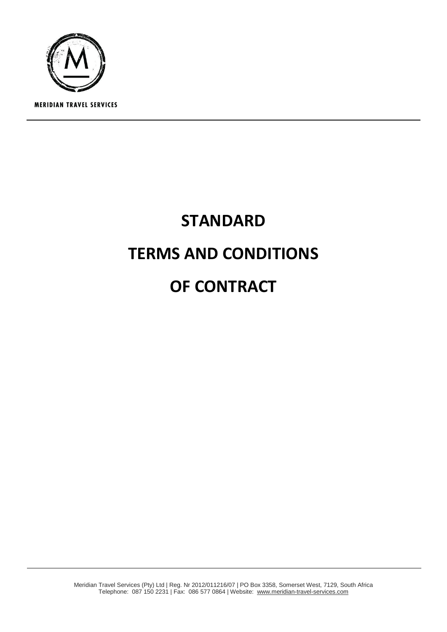

# **STANDARD TERMS AND CONDITIONS OF CONTRACT**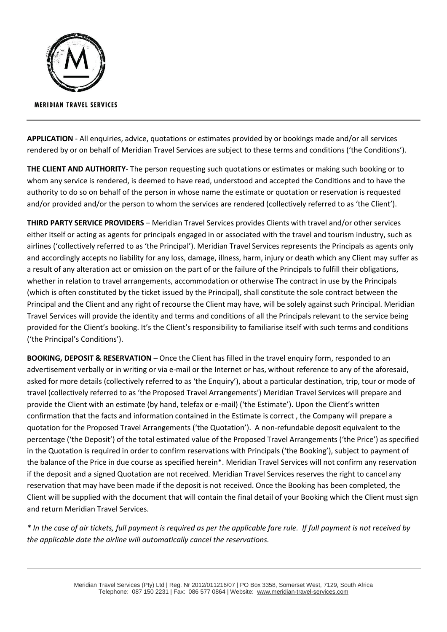

**APPLICATION** - All enquiries, advice, quotations or estimates provided by or bookings made and/or all services rendered by or on behalf of Meridian Travel Services are subject to these terms and conditions ('the Conditions').

**THE CLIENT AND AUTHORITY**- The person requesting such quotations or estimates or making such booking or to whom any service is rendered, is deemed to have read, understood and accepted the Conditions and to have the authority to do so on behalf of the person in whose name the estimate or quotation or reservation is requested and/or provided and/or the person to whom the services are rendered (collectively referred to as 'the Client').

**THIRD PARTY SERVICE PROVIDERS** – Meridian Travel Services provides Clients with travel and/or other services either itself or acting as agents for principals engaged in or associated with the travel and tourism industry, such as airlines ('collectively referred to as 'the Principal'). Meridian Travel Services represents the Principals as agents only and accordingly accepts no liability for any loss, damage, illness, harm, injury or death which any Client may suffer as a result of any alteration act or omission on the part of or the failure of the Principals to fulfill their obligations, whether in relation to travel arrangements, accommodation or otherwise The contract in use by the Principals (which is often constituted by the ticket issued by the Principal), shall constitute the sole contract between the Principal and the Client and any right of recourse the Client may have, will be solely against such Principal. Meridian Travel Services will provide the identity and terms and conditions of all the Principals relevant to the service being provided for the Client's booking. It's the Client's responsibility to familiarise itself with such terms and conditions ('the Principal's Conditions').

**BOOKING, DEPOSIT & RESERVATION** – Once the Client has filled in the travel enquiry form, responded to an advertisement verbally or in writing or via e-mail or the Internet or has, without reference to any of the aforesaid, asked for more details (collectively referred to as 'the Enquiry'), about a particular destination, trip, tour or mode of travel (collectively referred to as 'the Proposed Travel Arrangements') Meridian Travel Services will prepare and provide the Client with an estimate (by hand, telefax or e-mail) ('the Estimate'). Upon the Client's written confirmation that the facts and information contained in the Estimate is correct , the Company will prepare a quotation for the Proposed Travel Arrangements ('the Quotation'). A non-refundable deposit equivalent to the percentage ('the Deposit') of the total estimated value of the Proposed Travel Arrangements ('the Price') as specified in the Quotation is required in order to confirm reservations with Principals ('the Booking'), subject to payment of the balance of the Price in due course as specified herein\*. Meridian Travel Services will not confirm any reservation if the deposit and a signed Quotation are not received. Meridian Travel Services reserves the right to cancel any reservation that may have been made if the deposit is not received. Once the Booking has been completed, the Client will be supplied with the document that will contain the final detail of your Booking which the Client must sign and return Meridian Travel Services.

*\* In the case of air tickets, full payment is required as per the applicable fare rule. If full payment is not received by the applicable date the airline will automatically cancel the reservations.*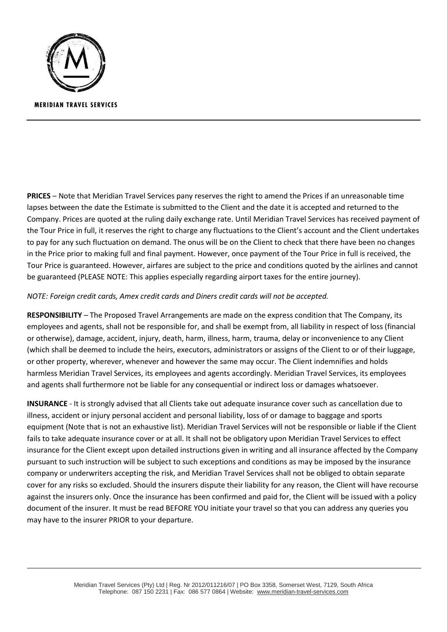

**PRICES** – Note that Meridian Travel Services pany reserves the right to amend the Prices if an unreasonable time lapses between the date the Estimate is submitted to the Client and the date it is accepted and returned to the Company. Prices are quoted at the ruling daily exchange rate. Until Meridian Travel Services has received payment of the Tour Price in full, it reserves the right to charge any fluctuations to the Client's account and the Client undertakes to pay for any such fluctuation on demand. The onus will be on the Client to check that there have been no changes in the Price prior to making full and final payment. However, once payment of the Tour Price in full is received, the Tour Price is guaranteed. However, airfares are subject to the price and conditions quoted by the airlines and cannot be guaranteed (PLEASE NOTE: This applies especially regarding airport taxes for the entire journey).

## *NOTE: Foreign credit cards, Amex credit cards and Diners credit cards will not be accepted.*

**RESPONSIBILITY** – The Proposed Travel Arrangements are made on the express condition that The Company, its employees and agents, shall not be responsible for, and shall be exempt from, all liability in respect of loss (financial or otherwise), damage, accident, injury, death, harm, illness, harm, trauma, delay or inconvenience to any Client (which shall be deemed to include the heirs, executors, administrators or assigns of the Client to or of their luggage, or other property, wherever, whenever and however the same may occur. The Client indemnifies and holds harmless Meridian Travel Services, its employees and agents accordingly. Meridian Travel Services, its employees and agents shall furthermore not be liable for any consequential or indirect loss or damages whatsoever.

**INSURANCE** - It is strongly advised that all Clients take out adequate insurance cover such as cancellation due to illness, accident or injury personal accident and personal liability, loss of or damage to baggage and sports equipment (Note that is not an exhaustive list). Meridian Travel Services will not be responsible or liable if the Client fails to take adequate insurance cover or at all. It shall not be obligatory upon Meridian Travel Services to effect insurance for the Client except upon detailed instructions given in writing and all insurance affected by the Company pursuant to such instruction will be subject to such exceptions and conditions as may be imposed by the insurance company or underwriters accepting the risk, and Meridian Travel Services shall not be obliged to obtain separate cover for any risks so excluded. Should the insurers dispute their liability for any reason, the Client will have recourse against the insurers only. Once the insurance has been confirmed and paid for, the Client will be issued with a policy document of the insurer. It must be read BEFORE YOU initiate your travel so that you can address any queries you may have to the insurer PRIOR to your departure.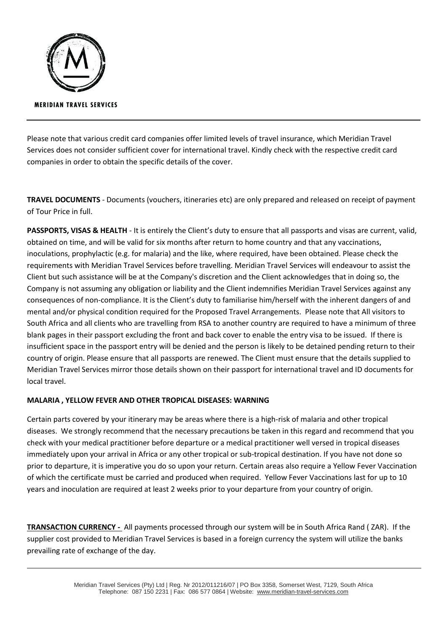

Please note that various credit card companies offer limited levels of travel insurance, which Meridian Travel Services does not consider sufficient cover for international travel. Kindly check with the respective credit card companies in order to obtain the specific details of the cover.

**TRAVEL DOCUMENTS** - Documents (vouchers, itineraries etc) are only prepared and released on receipt of payment of Tour Price in full.

**PASSPORTS, VISAS & HEALTH** - It is entirely the Client's duty to ensure that all passports and visas are current, valid, obtained on time, and will be valid for six months after return to home country and that any vaccinations, inoculations, prophylactic (e.g. for malaria) and the like, where required, have been obtained. Please check the requirements with Meridian Travel Services before travelling. Meridian Travel Services will endeavour to assist the Client but such assistance will be at the Company's discretion and the Client acknowledges that in doing so, the Company is not assuming any obligation or liability and the Client indemnifies Meridian Travel Services against any consequences of non-compliance. It is the Client's duty to familiarise him/herself with the inherent dangers of and mental and/or physical condition required for the Proposed Travel Arrangements. Please note that All visitors to South Africa and all clients who are travelling from RSA to another country are required to have a minimum of three blank pages in their passport excluding the front and back cover to enable the entry visa to be issued. If there is insufficient space in the passport entry will be denied and the person is likely to be detained pending return to their country of origin. Please ensure that all passports are renewed. The Client must ensure that the details supplied to Meridian Travel Services mirror those details shown on their passport for international travel and ID documents for local travel.

## **MALARIA , YELLOW FEVER AND OTHER TROPICAL DISEASES: WARNING**

Certain parts covered by your itinerary may be areas where there is a high-risk of malaria and other tropical diseases. We strongly recommend that the necessary precautions be taken in this regard and recommend that you check with your medical practitioner before departure or a medical practitioner well versed in tropical diseases immediately upon your arrival in Africa or any other tropical or sub-tropical destination. If you have not done so prior to departure, it is imperative you do so upon your return. Certain areas also require a Yellow Fever Vaccination of which the certificate must be carried and produced when required. Yellow Fever Vaccinations last for up to 10 years and inoculation are required at least 2 weeks prior to your departure from your country of origin.

**TRANSACTION CURRENCY -** All payments processed through our system will be in South Africa Rand ( ZAR). If the supplier cost provided to Meridian Travel Services is based in a foreign currency the system will utilize the banks prevailing rate of exchange of the day.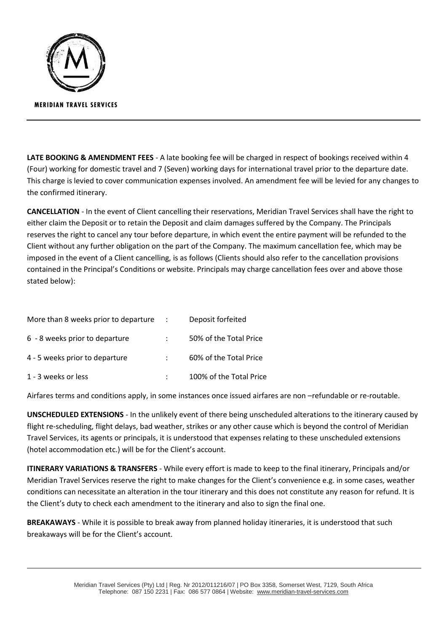

**LATE BOOKING & AMENDMENT FEES** - A late booking fee will be charged in respect of bookings received within 4 (Four) working for domestic travel and 7 (Seven) working days for international travel prior to the departure date. This charge is levied to cover communication expenses involved. An amendment fee will be levied for any changes to the confirmed itinerary.

**CANCELLATION** - In the event of Client cancelling their reservations, Meridian Travel Services shall have the right to either claim the Deposit or to retain the Deposit and claim damages suffered by the Company. The Principals reserves the right to cancel any tour before departure, in which event the entire payment will be refunded to the Client without any further obligation on the part of the Company. The maximum cancellation fee, which may be imposed in the event of a Client cancelling, is as follows (Clients should also refer to the cancellation provisions contained in the Principal's Conditions or website. Principals may charge cancellation fees over and above those stated below):

| More than 8 weeks prior to departure | $\mathbb{R}^n$ | Deposit forfeited       |
|--------------------------------------|----------------|-------------------------|
| 6 - 8 weeks prior to departure       |                | 50% of the Total Price  |
| 4 - 5 weeks prior to departure       |                | 60% of the Total Price  |
| 1 - 3 weeks or less                  |                | 100% of the Total Price |

Airfares terms and conditions apply, in some instances once issued airfares are non –refundable or re-routable.

**UNSCHEDULED EXTENSIONS** - In the unlikely event of there being unscheduled alterations to the itinerary caused by flight re-scheduling, flight delays, bad weather, strikes or any other cause which is beyond the control of Meridian Travel Services, its agents or principals, it is understood that expenses relating to these unscheduled extensions (hotel accommodation etc.) will be for the Client's account.

**ITINERARY VARIATIONS & TRANSFERS** - While every effort is made to keep to the final itinerary, Principals and/or Meridian Travel Services reserve the right to make changes for the Client's convenience e.g. in some cases, weather conditions can necessitate an alteration in the tour itinerary and this does not constitute any reason for refund. It is the Client's duty to check each amendment to the itinerary and also to sign the final one.

**BREAKAWAYS** - While it is possible to break away from planned holiday itineraries, it is understood that such breakaways will be for the Client's account.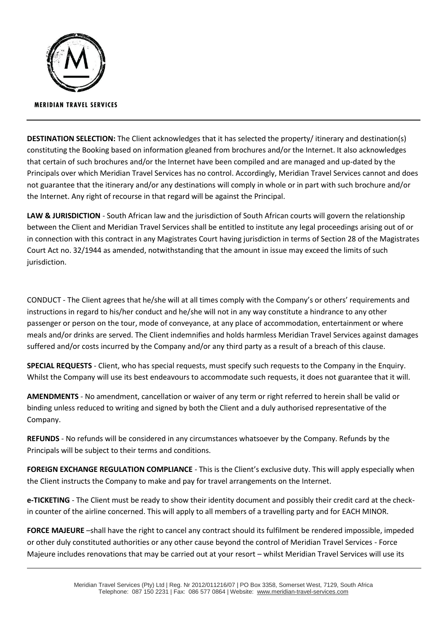

**DESTINATION SELECTION:** The Client acknowledges that it has selected the property/ itinerary and destination(s) constituting the Booking based on information gleaned from brochures and/or the Internet. It also acknowledges that certain of such brochures and/or the Internet have been compiled and are managed and up-dated by the Principals over which Meridian Travel Services has no control. Accordingly, Meridian Travel Services cannot and does not guarantee that the itinerary and/or any destinations will comply in whole or in part with such brochure and/or the Internet. Any right of recourse in that regard will be against the Principal.

**LAW & JURISDICTION** - South African law and the jurisdiction of South African courts will govern the relationship between the Client and Meridian Travel Services shall be entitled to institute any legal proceedings arising out of or in connection with this contract in any Magistrates Court having jurisdiction in terms of Section 28 of the Magistrates Court Act no. 32/1944 as amended, notwithstanding that the amount in issue may exceed the limits of such jurisdiction.

CONDUCT - The Client agrees that he/she will at all times comply with the Company's or others' requirements and instructions in regard to his/her conduct and he/she will not in any way constitute a hindrance to any other passenger or person on the tour, mode of conveyance, at any place of accommodation, entertainment or where meals and/or drinks are served. The Client indemnifies and holds harmless Meridian Travel Services against damages suffered and/or costs incurred by the Company and/or any third party as a result of a breach of this clause.

**SPECIAL REQUESTS** - Client, who has special requests, must specify such requests to the Company in the Enquiry. Whilst the Company will use its best endeavours to accommodate such requests, it does not guarantee that it will.

**AMENDMENTS** - No amendment, cancellation or waiver of any term or right referred to herein shall be valid or binding unless reduced to writing and signed by both the Client and a duly authorised representative of the Company.

**REFUNDS** - No refunds will be considered in any circumstances whatsoever by the Company. Refunds by the Principals will be subject to their terms and conditions.

**FOREIGN EXCHANGE REGULATION COMPLIANCE** - This is the Client's exclusive duty. This will apply especially when the Client instructs the Company to make and pay for travel arrangements on the Internet.

**e-TICKETING** - The Client must be ready to show their identity document and possibly their credit card at the checkin counter of the airline concerned. This will apply to all members of a travelling party and for EACH MINOR.

**FORCE MAJEURE** –shall have the right to cancel any contract should its fulfilment be rendered impossible, impeded or other duly constituted authorities or any other cause beyond the control of Meridian Travel Services - Force Majeure includes renovations that may be carried out at your resort – whilst Meridian Travel Services will use its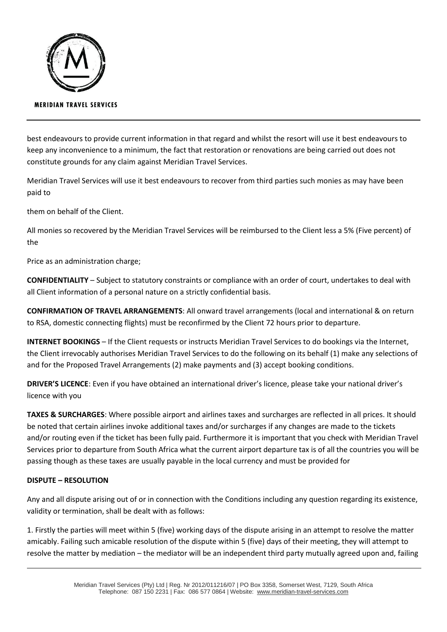

### **MERIDIAN TRAVEL SERVICES**

best endeavours to provide current information in that regard and whilst the resort will use it best endeavours to keep any inconvenience to a minimum, the fact that restoration or renovations are being carried out does not constitute grounds for any claim against Meridian Travel Services.

Meridian Travel Services will use it best endeavours to recover from third parties such monies as may have been paid to

them on behalf of the Client.

All monies so recovered by the Meridian Travel Services will be reimbursed to the Client less a 5% (Five percent) of the

Price as an administration charge;

**CONFIDENTIALITY** – Subject to statutory constraints or compliance with an order of court, undertakes to deal with all Client information of a personal nature on a strictly confidential basis.

**CONFIRMATION OF TRAVEL ARRANGEMENTS**: All onward travel arrangements (local and international & on return to RSA, domestic connecting flights) must be reconfirmed by the Client 72 hours prior to departure.

**INTERNET BOOKINGS** – If the Client requests or instructs Meridian Travel Services to do bookings via the Internet, the Client irrevocably authorises Meridian Travel Services to do the following on its behalf (1) make any selections of and for the Proposed Travel Arrangements (2) make payments and (3) accept booking conditions.

**DRIVER'S LICENCE**: Even if you have obtained an international driver's licence, please take your national driver's licence with you

**TAXES & SURCHARGES**: Where possible airport and airlines taxes and surcharges are reflected in all prices. It should be noted that certain airlines invoke additional taxes and/or surcharges if any changes are made to the tickets and/or routing even if the ticket has been fully paid. Furthermore it is important that you check with Meridian Travel Services prior to departure from South Africa what the current airport departure tax is of all the countries you will be passing though as these taxes are usually payable in the local currency and must be provided for

#### **DISPUTE – RESOLUTION**

Any and all dispute arising out of or in connection with the Conditions including any question regarding its existence, validity or termination, shall be dealt with as follows:

1. Firstly the parties will meet within 5 (five) working days of the dispute arising in an attempt to resolve the matter amicably. Failing such amicable resolution of the dispute within 5 (five) days of their meeting, they will attempt to resolve the matter by mediation – the mediator will be an independent third party mutually agreed upon and, failing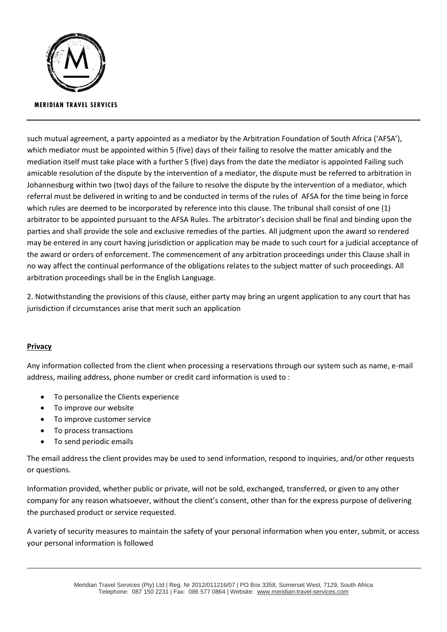

such mutual agreement, a party appointed as a mediator by the Arbitration Foundation of South Africa ('AFSA'), which mediator must be appointed within 5 (five) days of their failing to resolve the matter amicably and the mediation itself must take place with a further 5 (five) days from the date the mediator is appointed Failing such amicable resolution of the dispute by the intervention of a mediator, the dispute must be referred to arbitration in Johannesburg within two (two) days of the failure to resolve the dispute by the intervention of a mediator, which referral must be delivered in writing to and be conducted in terms of the rules of AFSA for the time being in force which rules are deemed to be incorporated by reference into this clause. The tribunal shall consist of one (1) arbitrator to be appointed pursuant to the AFSA Rules. The arbitrator's decision shall be final and binding upon the parties and shall provide the sole and exclusive remedies of the parties. All judgment upon the award so rendered may be entered in any court having jurisdiction or application may be made to such court for a judicial acceptance of the award or orders of enforcement. The commencement of any arbitration proceedings under this Clause shall in no way affect the continual performance of the obligations relates to the subject matter of such proceedings. All arbitration proceedings shall be in the English Language.

2. Notwithstanding the provisions of this clause, either party may bring an urgent application to any court that has jurisdiction if circumstances arise that merit such an application

## **Privacy**

Any information collected from the client when processing a reservations through our system such as name, e-mail address, mailing address, phone number or credit card information is used to :

- To personalize the Clients experience
- To improve our website
- To improve customer service
- To process transactions
- To send periodic emails

The email address the client provides may be used to send information, respond to inquiries, and/or other requests or questions.

Information provided, whether public or private, will not be sold, exchanged, transferred, or given to any other company for any reason whatsoever, without the client's consent, other than for the express purpose of delivering the purchased product or service requested.

A variety of security measures to maintain the safety of your personal information when you enter, submit, or access your personal information is followed